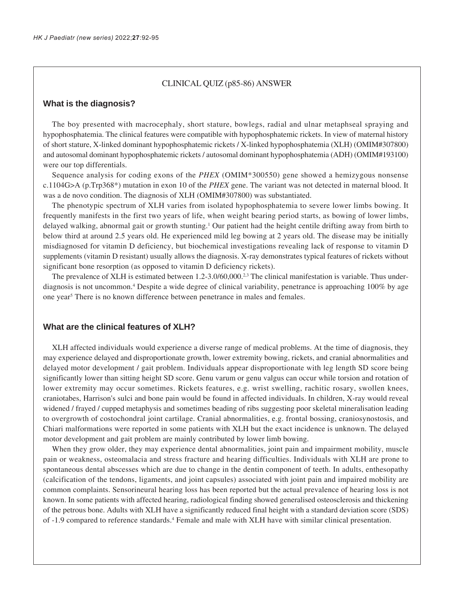### CLINICAL QUIZ (p85-86) ANSWER

### **What is the diagnosis?**

The boy presented with macrocephaly, short stature, bowlegs, radial and ulnar metaphseal spraying and hypophosphatemia. The clinical features were compatible with hypophosphatemic rickets. In view of maternal history of short stature, X-linked dominant hypophosphatemic rickets / X-linked hypophosphatemia (XLH) (OMIM#307800) and autosomal dominant hypophosphatemic rickets / autosomal dominant hypophosphatemia (ADH) (OMIM#193100) were our top differentials.

Sequence analysis for coding exons of the *PHEX* (OMIM\*300550) gene showed a hemizygous nonsense c.1104G>A (p.Trp368\*) mutation in exon 10 of the *PHEX* gene. The variant was not detected in maternal blood. It was a de novo condition. The diagnosis of XLH (OMIM#307800) was substantiated.

The phenotypic spectrum of XLH varies from isolated hypophosphatemia to severe lower limbs bowing. It frequently manifests in the first two years of life, when weight bearing period starts, as bowing of lower limbs, delayed walking, abnormal gait or growth stunting.1 Our patient had the height centile drifting away from birth to below third at around 2.5 years old. He experienced mild leg bowing at 2 years old. The disease may be initially misdiagnosed for vitamin D deficiency, but biochemical investigations revealing lack of response to vitamin D supplements (vitamin D resistant) usually allows the diagnosis. X-ray demonstrates typical features of rickets without significant bone resorption (as opposed to vitamin D deficiency rickets).

The prevalence of XLH is estimated between  $1.2$ -3.0/60,000.<sup>2,3</sup> The clinical manifestation is variable. Thus underdiagnosis is not uncommon.4 Despite a wide degree of clinical variability, penetrance is approaching 100% by age one year<sup>5</sup> There is no known difference between penetrance in males and females.

## **What are the clinical features of XLH?**

XLH affected individuals would experience a diverse range of medical problems. At the time of diagnosis, they may experience delayed and disproportionate growth, lower extremity bowing, rickets, and cranial abnormalities and delayed motor development / gait problem. Individuals appear disproportionate with leg length SD score being significantly lower than sitting height SD score. Genu varum or genu valgus can occur while torsion and rotation of lower extremity may occur sometimes. Rickets features, e.g. wrist swelling, rachitic rosary, swollen knees, craniotabes, Harrison's sulci and bone pain would be found in affected individuals. In children, X-ray would reveal widened / frayed / cupped metaphysis and sometimes beading of ribs suggesting poor skeletal mineralisation leading to overgrowth of costochondral joint cartilage. Cranial abnormalities, e.g. frontal bossing, craniosynostosis, and Chiari malformations were reported in some patients with XLH but the exact incidence is unknown. The delayed motor development and gait problem are mainly contributed by lower limb bowing.

When they grow older, they may experience dental abnormalities, joint pain and impairment mobility, muscle pain or weakness, osteomalacia and stress fracture and hearing difficulties. Individuals with XLH are prone to spontaneous dental abscesses which are due to change in the dentin component of teeth. In adults, enthesopathy (calcification of the tendons, ligaments, and joint capsules) associated with joint pain and impaired mobility are common complaints. Sensorineural hearing loss has been reported but the actual prevalence of hearing loss is not known. In some patients with affected hearing, radiological finding showed generalised osteosclerosis and thickening of the petrous bone. Adults with XLH have a significantly reduced final height with a standard deviation score (SDS) of -1.9 compared to reference standards.<sup>4</sup> Female and male with XLH have with similar clinical presentation.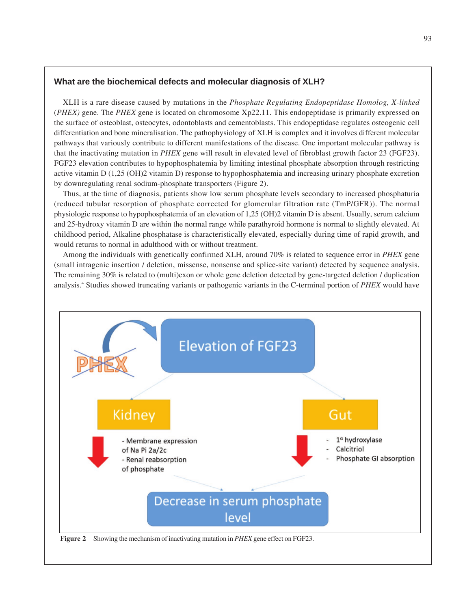## **What are the biochemical defects and molecular diagnosis of XLH?**

XLH is a rare disease caused by mutations in the *Phosphate Regulating Endopeptidase Homolog, X-linked* (*PHEX)* gene. The *PHEX* gene is located on chromosome Xp22.11. This endopeptidase is primarily expressed on the surface of osteoblast, osteocytes, odontoblasts and cementoblasts. This endopeptidase regulates osteogenic cell differentiation and bone mineralisation. The pathophysiology of XLH is complex and it involves different molecular pathways that variously contribute to different manifestations of the disease. One important molecular pathway is that the inactivating mutation in *PHEX* gene will result in elevated level of fibroblast growth factor 23 (FGF23). FGF23 elevation contributes to hypophosphatemia by limiting intestinal phosphate absorption through restricting active vitamin D (1,25 (OH)2 vitamin D) response to hypophosphatemia and increasing urinary phosphate excretion by downregulating renal sodium-phosphate transporters (Figure 2).

Thus, at the time of diagnosis, patients show low serum phosphate levels secondary to increased phosphaturia (reduced tubular resorption of phosphate corrected for glomerular filtration rate (TmP/GFR)). The normal physiologic response to hypophosphatemia of an elevation of 1,25 (OH)2 vitamin D is absent. Usually, serum calcium and 25-hydroxy vitamin D are within the normal range while parathyroid hormone is normal to slightly elevated. At childhood period, Alkaline phosphatase is characteristically elevated, especially during time of rapid growth, and would returns to normal in adulthood with or without treatment.

Among the individuals with genetically confirmed XLH, around 70% is related to sequence error in *PHEX* gene (small intragenic insertion / deletion, missense, nonsense and splice-site variant) detected by sequence analysis. The remaining 30% is related to (multi)exon or whole gene deletion detected by gene-targeted deletion / duplication analysis.4 Studies showed truncating variants or pathogenic variants in the C-terminal portion of *PHEX* would have

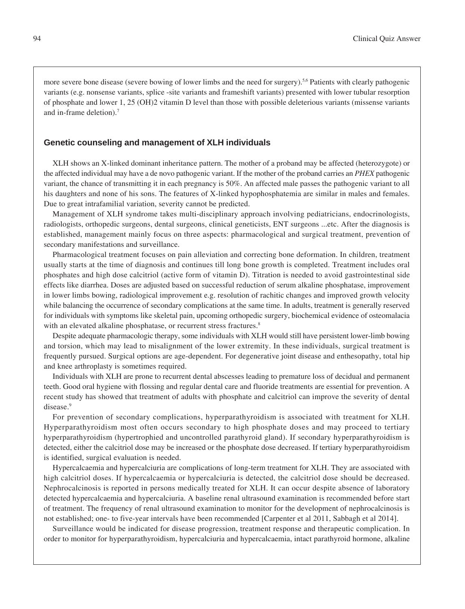more severe bone disease (severe bowing of lower limbs and the need for surgery).<sup>5,6</sup> Patients with clearly pathogenic variants (e.g. nonsense variants, splice -site variants and frameshift variants) presented with lower tubular resorption of phosphate and lower 1, 25 (OH)2 vitamin D level than those with possible deleterious variants (missense variants and in-frame deletion).7

### **Genetic counseling and management of XLH individuals**

XLH shows an X-linked dominant inheritance pattern. The mother of a proband may be affected (heterozygote) or the affected individual may have a de novo pathogenic variant. If the mother of the proband carries an *PHEX* pathogenic variant, the chance of transmitting it in each pregnancy is 50%. An affected male passes the pathogenic variant to all his daughters and none of his sons. The features of X-linked hypophosphatemia are similar in males and females. Due to great intrafamilial variation, severity cannot be predicted.

Management of XLH syndrome takes multi-disciplinary approach involving pediatricians, endocrinologists, radiologists, orthopedic surgeons, dental surgeons, clinical geneticists, ENT surgeons ...etc. After the diagnosis is established, management mainly focus on three aspects: pharmacological and surgical treatment, prevention of secondary manifestations and surveillance.

Pharmacological treatment focuses on pain alleviation and correcting bone deformation. In children, treatment usually starts at the time of diagnosis and continues till long bone growth is completed. Treatment includes oral phosphates and high dose calcitriol (active form of vitamin D). Titration is needed to avoid gastrointestinal side effects like diarrhea. Doses are adjusted based on successful reduction of serum alkaline phosphatase, improvement in lower limbs bowing, radiological improvement e.g. resolution of rachitic changes and improved growth velocity while balancing the occurrence of secondary complications at the same time. In adults, treatment is generally reserved for individuals with symptoms like skeletal pain, upcoming orthopedic surgery, biochemical evidence of osteomalacia with an elevated alkaline phosphatase, or recurrent stress fractures.<sup>8</sup>

Despite adequate pharmacologic therapy, some individuals with XLH would still have persistent lower-limb bowing and torsion, which may lead to misalignment of the lower extremity. In these individuals, surgical treatment is frequently pursued. Surgical options are age-dependent. For degenerative joint disease and enthesopathy, total hip and knee arthroplasty is sometimes required.

Individuals with XLH are prone to recurrent dental abscesses leading to premature loss of decidual and permanent teeth. Good oral hygiene with flossing and regular dental care and fluoride treatments are essential for prevention. A recent study has showed that treatment of adults with phosphate and calcitriol can improve the severity of dental disease.<sup>9</sup>

For prevention of secondary complications, hyperparathyroidism is associated with treatment for XLH. Hyperparathyroidism most often occurs secondary to high phosphate doses and may proceed to tertiary hyperparathyroidism (hypertrophied and uncontrolled parathyroid gland). If secondary hyperparathyroidism is detected, either the calcitriol dose may be increased or the phosphate dose decreased. If tertiary hyperparathyroidism is identified, surgical evaluation is needed.

Hypercalcaemia and hypercalciuria are complications of long-term treatment for XLH. They are associated with high calcitriol doses. If hypercalcaemia or hypercalciuria is detected, the calcitriol dose should be decreased. Nephrocalcinosis is reported in persons medically treated for XLH. It can occur despite absence of laboratory detected hypercalcaemia and hypercalciuria. A baseline renal ultrasound examination is recommended before start of treatment. The frequency of renal ultrasound examination to monitor for the development of nephrocalcinosis is not established; one- to five-year intervals have been recommended [Carpenter et al 2011, Sabbagh et al 2014].

Surveillance would be indicated for disease progression, treatment response and therapeutic complication. In order to monitor for hyperparathyroidism, hypercalciuria and hypercalcaemia, intact parathyroid hormone, alkaline